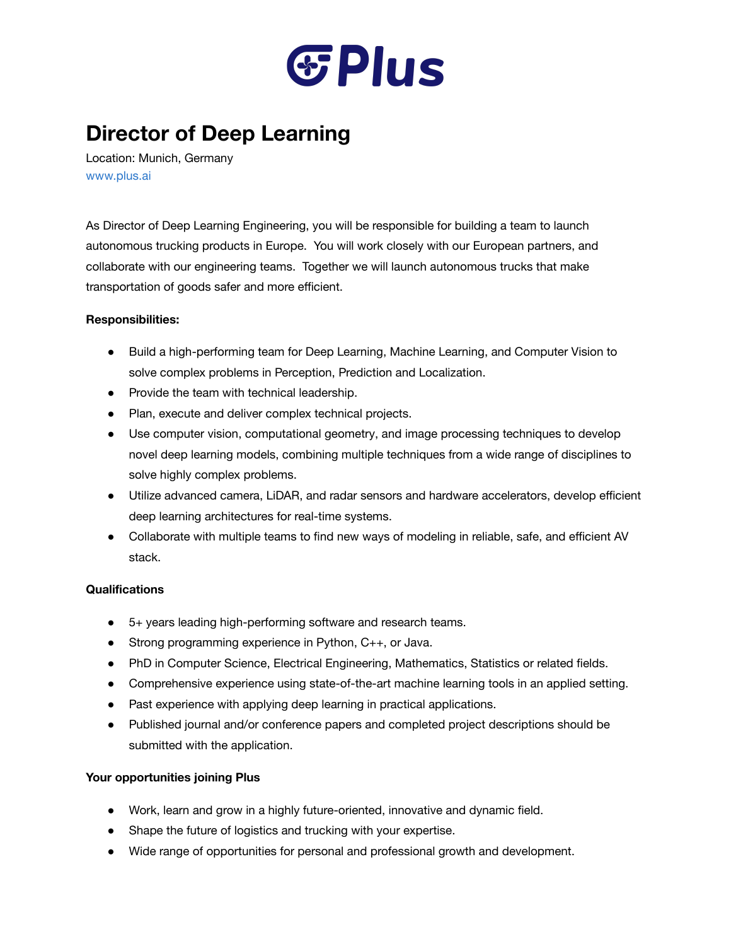

## **Director of Deep Learning**

Location: Munich, Germany [www.plus.ai](http://www.plus.ai/)

As Director of Deep Learning Engineering, you will be responsible for building a team to launch autonomous trucking products in Europe. You will work closely with our European partners, and collaborate with our engineering teams. Together we will launch autonomous trucks that make transportation of goods safer and more efficient.

## **Responsibilities:**

- Build a high-performing team for Deep Learning, Machine Learning, and Computer Vision to solve complex problems in Perception, Prediction and Localization.
- Provide the team with technical leadership.
- Plan, execute and deliver complex technical projects.
- Use computer vision, computational geometry, and image processing techniques to develop novel deep learning models, combining multiple techniques from a wide range of disciplines to solve highly complex problems.
- Utilize advanced camera, LiDAR, and radar sensors and hardware accelerators, develop efficient deep learning architectures for real-time systems.
- Collaborate with multiple teams to find new ways of modeling in reliable, safe, and efficient AV stack.

## **Qualifications**

- 5+ years leading high-performing software and research teams.
- Strong programming experience in Python, C++, or Java.
- PhD in Computer Science, Electrical Engineering, Mathematics, Statistics or related fields.
- Comprehensive experience using state-of-the-art machine learning tools in an applied setting.
- Past experience with applying deep learning in practical applications.
- Published journal and/or conference papers and completed project descriptions should be submitted with the application.

## **Your opportunities joining Plus**

- Work, learn and grow in a highly future-oriented, innovative and dynamic field.
- Shape the future of logistics and trucking with your expertise.
- Wide range of opportunities for personal and professional growth and development.